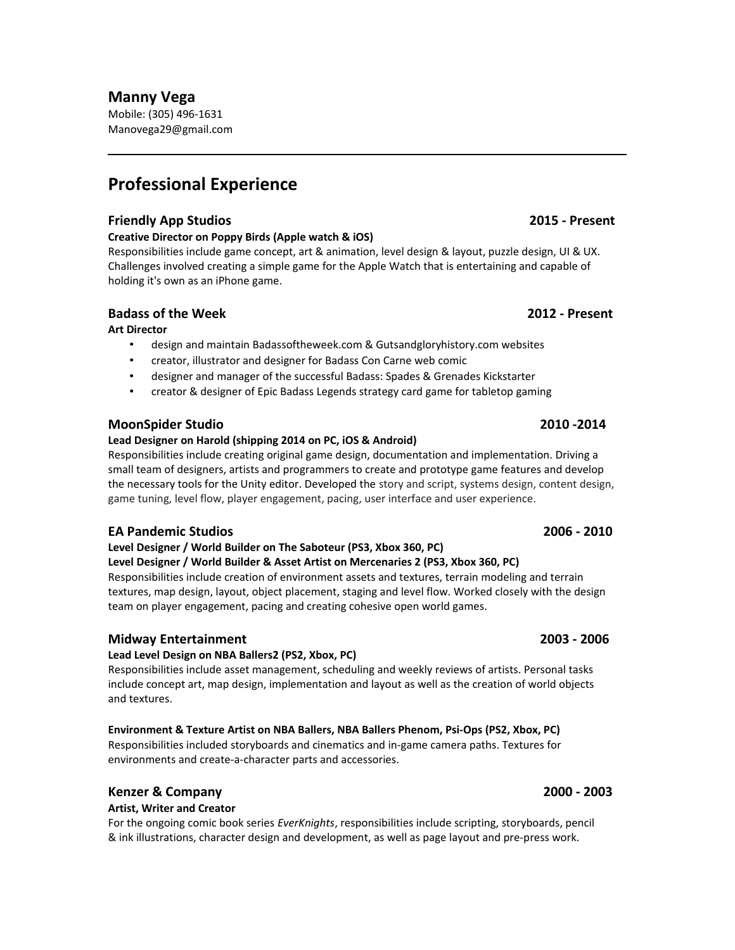# **Manny Vega**

Mobile: (305) 496-1631 Manovega29@gmail.com

# **Professional Experience**

### **Friendly App Studios 2015 - Present**

### **Creative Director on Poppy Birds (Apple watch & iOS)**

Responsibilities include game concept, art & animation, level design & layout, puzzle design, UI & UX. Challenges involved creating a simple game for the Apple Watch that is entertaining and capable of holding it's own as an iPhone game.

### **Badass of the Week 2012 - Present**

### **Art Director**

- design and maintain Badassoftheweek.com & Gutsandgloryhistory.com websites
- creator, illustrator and designer for Badass Con Carne web comic
- designer and manager of the successful Badass: Spades & Grenades Kickstarter
- creator & designer of Epic Badass Legends strategy card game for tabletop gaming

## **MoonSpider Studio 2010 -2014**

### **Lead Designer on Harold (shipping 2014 on PC, iOS & Android)**

Responsibilities include creating original game design, documentation and implementation. Driving a small team of designers, artists and programmers to create and prototype game features and develop the necessary tools for the Unity editor. Developed the story and script, systems design, content design, game tuning, level flow, player engagement, pacing, user interface and user experience.

### **EA Pandemic Studios 2006 - 2010**

### **Level Designer / World Builder on The Saboteur (PS3, Xbox 360, PC)**

### **Level Designer / World Builder & Asset Artist on Mercenaries 2 (PS3, Xbox 360, PC)**

Responsibilities include creation of environment assets and textures, terrain modeling and terrain textures, map design, layout, object placement, staging and level flow. Worked closely with the design team on player engagement, pacing and creating cohesive open world games.

### **Midway Entertainment 2003 - 2006**

### **Lead Level Design on NBA Ballers2 (PS2, Xbox, PC)**

Responsibilities include asset management, scheduling and weekly reviews of artists. Personal tasks include concept art, map design, implementation and layout as well as the creation of world objects and textures.

# **Environment & Texture Artist on NBA Ballers, NBA Ballers Phenom, Psi-Ops (PS2, Xbox, PC)**

Responsibilities included storyboards and cinematics and in-game camera paths. Textures for environments and create-a-character parts and accessories.

# **Kenzer & Company 2000 - 2003**

### **Artist, Writer and Creator**

For the ongoing comic book series *EverKnights*, responsibilities include scripting, storyboards, pencil & ink illustrations, character design and development, as well as page layout and pre-press work.